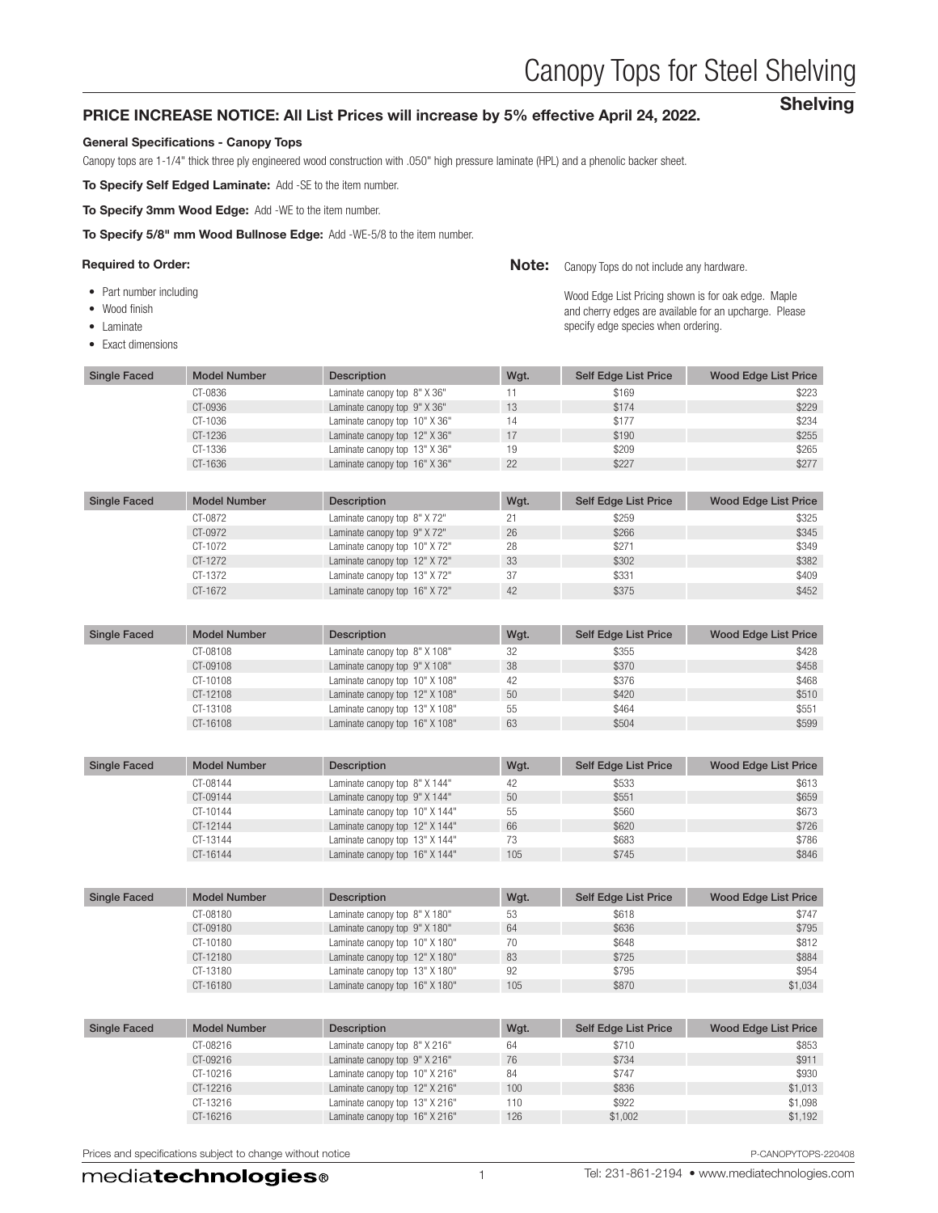# Canopy Tops for Steel Shelving

Shelving

#### PRICE INCREASE NOTICE: All List Prices will increase by 5% effective April 24, 2022.

#### General Specifications - Canopy Tops

Canopy tops are 1-1/4" thick three ply engineered wood construction with .050" high pressure laminate (HPL) and a phenolic backer sheet.

To Specify Self Edged Laminate: Add -SE to the item number.

To Specify 3mm Wood Edge: Add -WE to the item number.

To Specify 5/8" mm Wood Bullnose Edge: Add -WE-5/8 to the item number.

#### Required to Order: **Canopy Tops do not include any hardware.** Canopy Tops do not include any hardware.

- Part number including
- Wood finish
- Laminate
- Exact dimensions

Wood Edge List Pricing shown is for oak edge. Maple and cherry edges are available for an upcharge. Please specify edge species when ordering.

| <b>Single Faced</b> | <b>Model Number</b> | <b>Description</b>            | Wgt. | <b>Self Edge List Price</b> | Wood Edge List Price |
|---------------------|---------------------|-------------------------------|------|-----------------------------|----------------------|
|                     | CT-0836             | Laminate canopy top 8" X 36"  |      | \$169                       | \$223                |
|                     | CT-0936             | Laminate canopy top 9" X 36"  | 13   | \$174                       | \$229                |
|                     | CT-1036             | Laminate canopy top 10" X 36" | 14   | \$177                       | \$234                |
|                     | CT-1236             | Laminate canopy top 12" X 36" | 17   | \$190                       | \$255                |
|                     | CT-1336             | Laminate canopy top 13" X 36" | 19   | \$209                       | \$265                |
|                     | CT-1636             | Laminate canopy top 16" X 36" | 22   | \$227                       | \$277                |

| <b>Single Faced</b> | <b>Model Number</b> | <b>Description</b>            | Wgt. | Self Edge List Price | Wood Edge List Price |
|---------------------|---------------------|-------------------------------|------|----------------------|----------------------|
|                     | CT-0872             | Laminate canopy top 8" X 72"  | 21   | \$259                | \$325                |
|                     | CT-0972             | Laminate canopy top 9" X 72"  | 26   | \$266                | \$345                |
|                     | CT-1072             | Laminate canopy top 10" X72"  | 28   | \$271                | \$349                |
|                     | CT-1272             | Laminate canopy top 12" X 72" | 33   | \$302                | \$382                |
|                     | CT-1372             | Laminate canopy top 13" X 72" | 37   | \$331                | \$409                |
|                     | CT-1672             | Laminate canopy top 16" X72"  | 42   | \$375                | \$452                |

| Single Faced | <b>Model Number</b> | Description                    | Wgt. | Self Edge List Price | <b>Wood Edge List Price</b> |
|--------------|---------------------|--------------------------------|------|----------------------|-----------------------------|
|              | CT-08108            | Laminate canopy top 8" X 108"  | 32   | \$355                | \$428                       |
|              | CT-09108            | Laminate canopy top 9" X 108"  | 38   | \$370                | \$458                       |
|              | CT-10108            | Laminate canopy top 10" X 108" | 42   | \$376                | \$468                       |
|              | CT-12108            | Laminate canopy top 12" X 108" | 50   | \$420                | \$510                       |
|              | CT-13108            | Laminate canopy top 13" X 108" | 55   | \$464                | \$551                       |
|              | CT-16108            | Laminate canopy top 16" X 108" | 63   | \$504                | \$599                       |

| <b>Single Faced</b> | Model Number | <b>Description</b>             | Wgt. | Self Edge List Price | Wood Edge List Price |
|---------------------|--------------|--------------------------------|------|----------------------|----------------------|
|                     | CT-08144     | Laminate canopy top 8" X 144"  | 42   | \$533                | \$613                |
|                     | CT-09144     | Laminate canopy top 9" X 144"  | 50   | \$551                | \$659                |
|                     | CT-10144     | Laminate canopy top 10" X 144" | 55   | \$560                | \$673                |
|                     | CT-12144     | Laminate canopy top 12" X 144" | 66   | \$620                | \$726                |
|                     | CT-13144     | Laminate canopy top 13" X 144" | 73   | \$683                | \$786                |
|                     | CT-16144     | Laminate canopy top 16" X 144" | 105  | \$745                | \$846                |

| <b>Single Faced</b> | <b>Model Number</b> | <b>Description</b>             | Wgt. | Self Edge List Price | <b>Wood Edge List Price</b> |
|---------------------|---------------------|--------------------------------|------|----------------------|-----------------------------|
|                     | CT-08180            | Laminate canopy top 8" X 180"  | 53   | \$618                | \$747                       |
|                     | CT-09180            | Laminate canopy top 9" X 180"  | 64   | \$636                | \$795                       |
|                     | CT-10180            | Laminate canopy top 10" X 180" | 70   | \$648                | \$812                       |
|                     | CT-12180            | Laminate canopy top 12" X 180" | 83   | \$725                | \$884                       |
|                     | CT-13180            | Laminate canopy top 13" X 180" | 92   | \$795                | \$954                       |
|                     | CT-16180            | Laminate canopy top 16" X 180" | 105  | \$870                | \$1.034                     |

| <b>Single Faced</b> | <b>Model Number</b> | <b>Description</b>             | Wgt. | Self Edge List Price | Wood Edge List Price |
|---------------------|---------------------|--------------------------------|------|----------------------|----------------------|
|                     | CT-08216            | Laminate canopy top 8" X 216"  | 64   | \$710                | \$853                |
|                     | CT-09216            | Laminate canopy top 9" X 216"  | 76   | \$734                | \$911                |
|                     | CT-10216            | Laminate canopy top 10" X 216" | 84   | \$747                | \$930                |
|                     | CT-12216            | Laminate canopy top 12" X 216" | 100  | \$836                | \$1,013              |
|                     | CT-13216            | Laminate canopy top 13" X 216" | 110  | \$922                | \$1,098              |
|                     | CT-16216            | Laminate canopy top 16" X 216" | 126  | \$1,002              | \$1,192              |

Prices and specifications subject to change without notice **P-CANOPYTOPS-220408** P-CANOPYTOPS-220408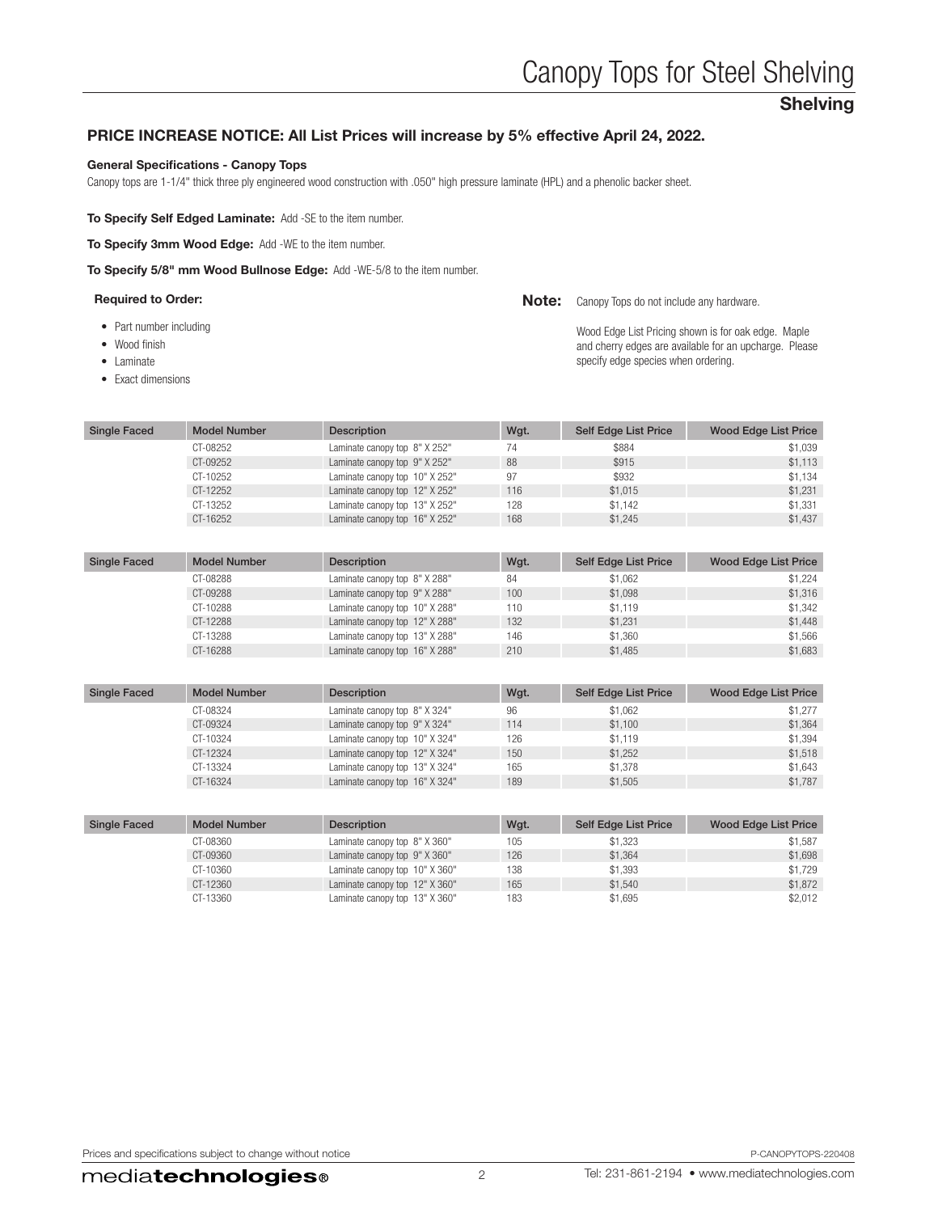# Shelving

# PRICE INCREASE NOTICE: All List Prices will increase by 5% effective April 24, 2022.

#### General Specifications - Canopy Tops

Canopy tops are 1-1/4" thick three ply engineered wood construction with .050" high pressure laminate (HPL) and a phenolic backer sheet.

To Specify Self Edged Laminate: Add -SE to the item number.

To Specify 3mm Wood Edge: Add -WE to the item number.

To Specify 5/8" mm Wood Bullnose Edge: Add -WE-5/8 to the item number.

| <b>Required to Order:</b> |  | <b>Note:</b> Canopy Tops do not include any hardware. |
|---------------------------|--|-------------------------------------------------------|
|---------------------------|--|-------------------------------------------------------|

- Part number including
- Wood finish
- Laminate
- Exact dimensions

Wood Edge List Pricing shown is for oak edge. Maple and cherry edges are available for an upcharge. Please specify edge species when ordering.

| Single Faced | <b>Model Number</b> | <b>Description</b>             | Wgt. | Self Edge List Price | Wood Edge List Price |
|--------------|---------------------|--------------------------------|------|----------------------|----------------------|
|              | CT-08252            | Laminate canopy top 8" X 252"  | 74   | \$884                | \$1.039              |
|              | CT-09252            | Laminate canopy top 9" X 252"  | 88   | \$915                | \$1.113              |
|              | CT-10252            | Laminate canopy top 10" X 252" | 97   | \$932                | \$1.134              |
|              | CT-12252            | Laminate canopy top 12" X 252" | 116  | \$1.015              | \$1.231              |
|              | CT-13252            | Laminate canopy top 13" X 252" | 128  | \$1.142              | \$1.331              |
|              | CT-16252            | Laminate canopy top 16" X 252" | 168  | \$1,245              | \$1,437              |

| <b>Single Faced</b> | <b>Model Number</b> | Description                    | Wgt. | Self Edge List Price | <b>Wood Edge List Price</b> |
|---------------------|---------------------|--------------------------------|------|----------------------|-----------------------------|
|                     | CT-08288            | Laminate canopy top 8" X 288"  | 84   | \$1.062              | \$1.224                     |
|                     | CT-09288            | Laminate canopy top 9" X 288"  | 100  | \$1.098              | \$1,316                     |
|                     | CT-10288            | Laminate canopy top 10" X 288" | 110  | \$1.119              | \$1,342                     |
|                     | CT-12288            | Laminate canopy top 12" X 288" | 132  | \$1.231              | \$1,448                     |
|                     | CT-13288            | Laminate canopy top 13" X 288" | 146  | \$1,360              | \$1.566                     |
|                     | CT-16288            | Laminate canopy top 16" X 288" | 210  | \$1,485              | \$1,683                     |

| <b>Single Faced</b> | <b>Model Number</b> | <b>Description</b>             | Wgt. | Self Edge List Price | Wood Edge List Price |
|---------------------|---------------------|--------------------------------|------|----------------------|----------------------|
|                     | CT-08324            | Laminate canopy top 8" X 324"  | 96   | \$1.062              | \$1,277              |
|                     | CT-09324            | Laminate canopy top 9" X 324"  | 114  | \$1.100              | \$1.364              |
|                     | CT-10324            | Laminate canopy top 10" X 324" | 126  | \$1.119              | \$1.394              |
|                     | CT-12324            | Laminate canopy top 12" X 324" | 150  | \$1.252              | \$1.518              |
|                     | CT-13324            | Laminate canopy top 13" X 324" | 165  | \$1.378              | \$1.643              |
|                     | CT-16324            | Laminate canopy top 16" X 324" | 189  | \$1.505              | \$1.787              |

| <b>Single Faced</b> | <b>Model Number</b> | <b>Description</b>             | Wgt. | Self Edge List Price | Wood Edge List Price |
|---------------------|---------------------|--------------------------------|------|----------------------|----------------------|
|                     | CT-08360            | Laminate canopy top 8" X 360"  | 105  | \$1.323              | \$1,587              |
|                     | CT-09360            | Laminate canopy top 9" X 360"  | 126  | \$1.364              | \$1,698              |
|                     | CT-10360            | Laminate canopy top 10" X 360" | 138  | \$1.393              | \$1.729              |
|                     | CT-12360            | Laminate canopy top 12" X 360" | 165  | \$1.540              | \$1,872              |
|                     | CT-13360            | Laminate canopy top 13" X 360" | 183  | \$1.695              | \$2,012              |

Prices and specifications subject to change without notice **P-CANOPYTOPS-220408** P-CANOPYTOPS-220408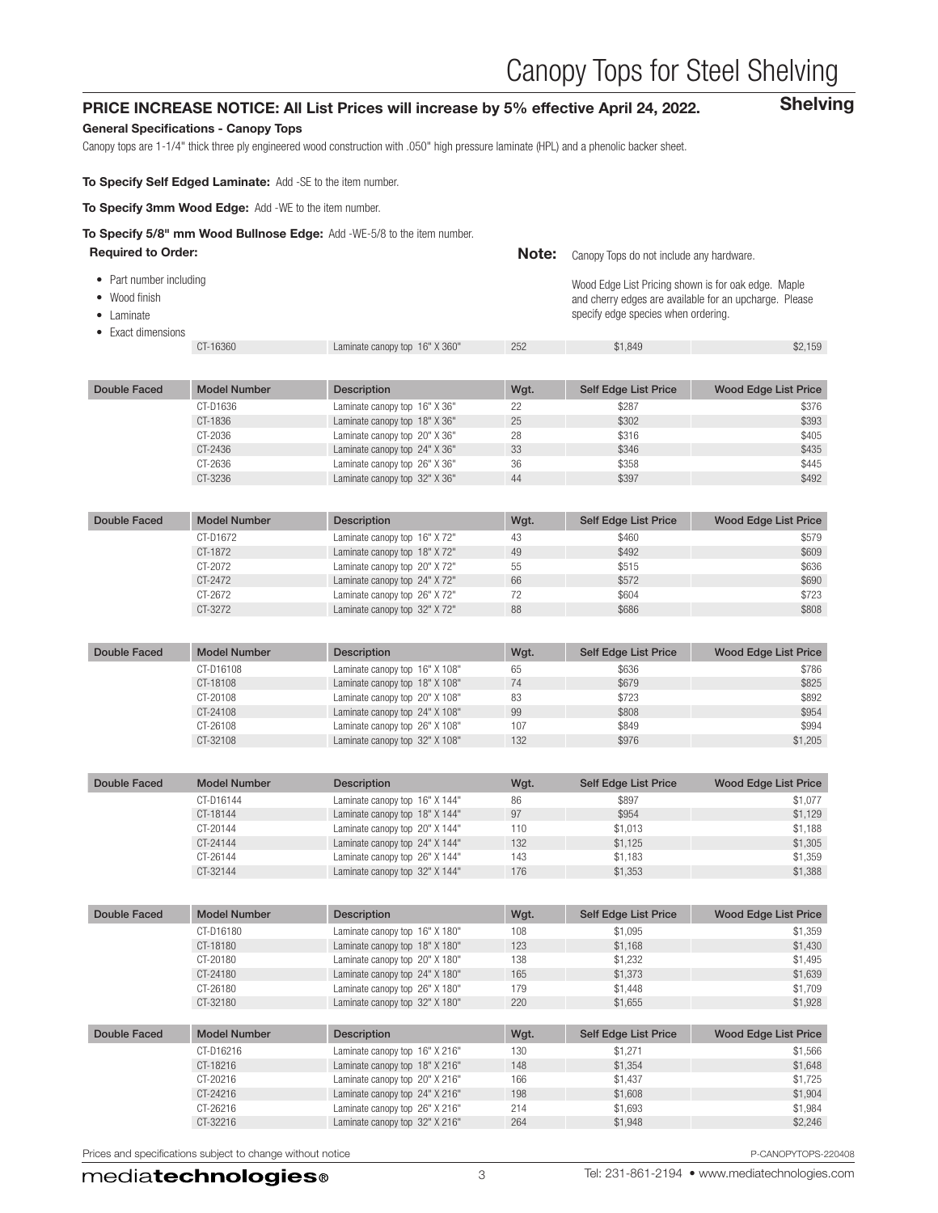# Canopy Tops for Steel Shelving

Shelving

### PRICE INCREASE NOTICE: All List Prices will increase by 5% effective April 24, 2022.

#### General Specifications - Canopy Tops

Canopy tops are 1-1/4" thick three ply engineered wood construction with .050" high pressure laminate (HPL) and a phenolic backer sheet.

To Specify Self Edged Laminate: Add -SE to the item number.

To Specify 3mm Wood Edge: Add -WE to the item number.

# To Specify 5/8" mm Wood Bullnose Edge: Add -WE-5/8 to the item number.

| <b>Required to Order:</b>                                                            |                     |                                | Note: | Canopy Tops do not include any hardware.                                                   |                                                        |
|--------------------------------------------------------------------------------------|---------------------|--------------------------------|-------|--------------------------------------------------------------------------------------------|--------------------------------------------------------|
| • Part number including<br>• Wood finish<br>$\bullet$ Laminate<br>• Exact dimensions |                     |                                |       | Wood Edge List Pricing shown is for oak edge. Maple<br>specify edge species when ordering. | and cherry edges are available for an upcharge. Please |
|                                                                                      | CT-16360            | Laminate canopy top 16" X 360" | 252   | \$1.849                                                                                    | \$2,159                                                |
|                                                                                      |                     |                                |       |                                                                                            |                                                        |
| Double Faced                                                                         | <b>Model Number</b> | <b>Description</b>             | Wgt.  | <b>Self Edge List Price</b>                                                                | <b>Wood Edge List Price</b>                            |
|                                                                                      |                     |                                |       |                                                                                            |                                                        |

| CT-D1636 | Laminate canopy top 16" X 36" | 22 | \$287 | \$376 |
|----------|-------------------------------|----|-------|-------|
| CT-1836  | Laminate canopy top 18" X 36" | 25 | \$302 | \$393 |
| CT-2036  | Laminate canopy top 20" X 36" | 28 | \$316 | \$405 |
| CT-2436  | Laminate canopy top 24" X 36" | 33 | \$346 | \$435 |
| CT-2636  | Laminate canopy top 26" X 36" | 36 | \$358 | \$445 |
| CT-3236  | Laminate canopy top 32" X 36" | 44 | \$397 | \$492 |
|          |                               |    |       |       |

| Double Faced | <b>Model Number</b> | <b>Description</b>            | Wgt. | Self Edge List Price | Wood Edge List Price |
|--------------|---------------------|-------------------------------|------|----------------------|----------------------|
|              | CT-D1672            | Laminate canopy top 16" X 72" | 43   | \$460                | \$579                |
|              | CT-1872             | Laminate canopy top 18" X 72" | 49   | \$492                | \$609                |
|              | CT-2072             | Laminate canopy top 20" X72"  | 55   | \$515                | \$636                |
|              | CT-2472             | Laminate canopy top 24" X 72" | 66   | \$572                | \$690                |
|              | CT-2672             | Laminate canopy top 26" X72"  | 72   | \$604                | \$723                |
|              | CT-3272             | Laminate canopy top 32" X 72" | 88   | \$686                | \$808                |

| Double Faced | <b>Model Number</b> | <b>Description</b>             | Wgt. | Self Edge List Price | Wood Edge List Price |
|--------------|---------------------|--------------------------------|------|----------------------|----------------------|
|              | CT-D16108           | Laminate canopy top 16" X 108" | 65   | \$636                | \$786                |
|              | CT-18108            | Laminate canopy top 18" X 108" | 74   | \$679                | \$825                |
|              | CT-20108            | Laminate canopy top 20" X 108" | 83   | \$723                | \$892                |
|              | CT-24108            | Laminate canopy top 24" X 108" | 99   | \$808                | \$954                |
|              | CT-26108            | Laminate canopy top 26" X 108" | 107  | \$849                | \$994                |
|              | CT-32108            | Laminate canopy top 32" X 108" | 132  | \$976                | \$1,205              |

| Double Faced | <b>Model Number</b> | <b>Description</b>             | Wgt. | Self Edge List Price | Wood Edge List Price |
|--------------|---------------------|--------------------------------|------|----------------------|----------------------|
|              | CT-D16144           | Laminate canopy top 16" X 144" | 86   | \$897                | \$1,077              |
|              | CT-18144            | Laminate canopy top 18" X 144" | 97   | \$954                | \$1,129              |
|              | CT-20144            | Laminate canopy top 20" X 144" | 110  | \$1.013              | \$1,188              |
|              | CT-24144            | Laminate canopy top 24" X 144" | 132  | \$1.125              | \$1,305              |
|              | CT-26144            | Laminate canopy top 26" X 144" | 143  | \$1.183              | \$1.359              |
|              | CT-32144            | Laminate canopy top 32" X 144" | 176  | \$1,353              | \$1,388              |

| Double Faced | <b>Model Number</b> | <b>Description</b>             | Wgt. | <b>Self Edge List Price</b> | <b>Wood Edge List Price</b> |
|--------------|---------------------|--------------------------------|------|-----------------------------|-----------------------------|
|              | CT-D16180           | Laminate canopy top 16" X 180" | 108  | \$1.095                     | \$1,359                     |
|              | CT-18180            | Laminate canopy top 18" X 180" | 123  | \$1.168                     | \$1.430                     |
|              | CT-20180            | Laminate canopy top 20" X 180" | 138  | \$1,232                     | \$1,495                     |
|              | CT-24180            | Laminate canopy top 24" X 180" | 165  | \$1,373                     | \$1,639                     |
|              | CT-26180            | Laminate canopy top 26" X 180" | 179  | \$1,448                     | \$1,709                     |
|              | CT-32180            | Laminate canopy top 32" X 180" | 220  | \$1.655                     | \$1.928                     |
|              |                     |                                |      |                             |                             |
| Double Faced | <b>Model Number</b> | <b>Description</b>             | Wgt. | <b>Self Edge List Price</b> | <b>Wood Edge List Price</b> |
|              | CT-D16216           | Laminate canopy top 16" X 216" | 130  | \$1.271                     | \$1,566                     |
|              | CT-18216            | Laminate canopy top 18" X 216" | 148  | \$1.354                     | \$1.648                     |
|              | CT-20216            | Laminate canopy top 20" X 216" | 166  | \$1.437                     | \$1.725                     |
|              | CT-24216            | Laminate canopy top 24" X 216" | 198  | \$1,608                     | \$1,904                     |
|              | CT-26216            | Laminate canopy top 26" X 216" | 214  | \$1.693                     | \$1,984                     |
|              | CT-32216            | Laminate canopy top 32" X 216" | 264  | \$1,948                     | \$2,246                     |

Prices and specifications subject to change without notice  $P-$ CANOPYTOPS-220408